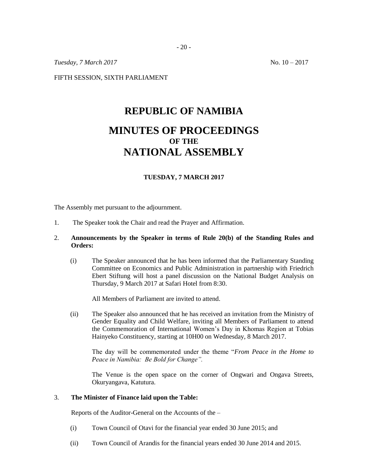*Tuesday, 7 March* 2017 No. 10 – 2017

FIFTH SESSION, SIXTH PARLIAMENT

# **REPUBLIC OF NAMIBIA MINUTES OF PROCEEDINGS OF THE NATIONAL ASSEMBLY**

## **TUESDAY, 7 MARCH 2017**

The Assembly met pursuant to the adjournment.

1. The Speaker took the Chair and read the Prayer and Affirmation.

## 2. **Announcements by the Speaker in terms of Rule 20(b) of the Standing Rules and Orders:**

(i) The Speaker announced that he has been informed that the Parliamentary Standing Committee on Economics and Public Administration in partnership with Friedrich Ebert Stiftung will host a panel discussion on the National Budget Analysis on Thursday, 9 March 2017 at Safari Hotel from 8:30.

All Members of Parliament are invited to attend.

(ii) The Speaker also announced that he has received an invitation from the Ministry of Gender Equality and Child Welfare, inviting all Members of Parliament to attend the Commemoration of International Women's Day in Khomas Region at Tobias Hainyeko Constituency, starting at 10H00 on Wednesday, 8 March 2017.

The day will be commemorated under the theme "*From Peace in the Home to Peace in Namibia: Be Bold for Change".*

The Venue is the open space on the corner of Ongwari and Ongava Streets, Okuryangava, Katutura.

#### 3. **The Minister of Finance laid upon the Table:**

Reports of the Auditor-General on the Accounts of the –

- (i) Town Council of Otavi for the financial year ended 30 June 2015; and
- (ii) Town Council of Arandis for the financial years ended 30 June 2014 and 2015.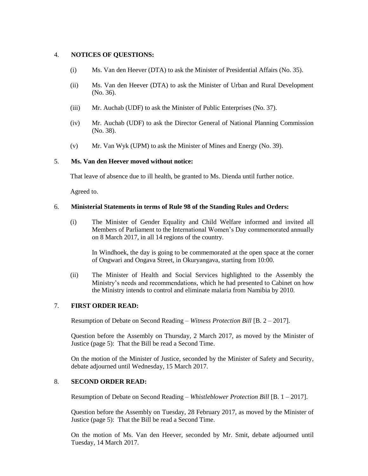#### 4. **NOTICES OF QUESTIONS:**

- (i) Ms. Van den Heever (DTA) to ask the Minister of Presidential Affairs (No. 35).
- (ii) Ms. Van den Heever (DTA) to ask the Minister of Urban and Rural Development (No. 36).
- (iii) Mr. Auchab (UDF) to ask the Minister of Public Enterprises (No. 37).
- (iv) Mr. Auchab (UDF) to ask the Director General of National Planning Commission (No. 38).
- (v) Mr. Van Wyk (UPM) to ask the Minister of Mines and Energy (No. 39).

#### 5. **Ms. Van den Heever moved without notice:**

That leave of absence due to ill health, be granted to Ms. Dienda until further notice.

Agreed to.

#### 6. **Ministerial Statements in terms of Rule 98 of the Standing Rules and Orders:**

(i) The Minister of Gender Equality and Child Welfare informed and invited all Members of Parliament to the International Women's Day commemorated annually on 8 March 2017, in all 14 regions of the country.

In Windhoek, the day is going to be commemorated at the open space at the corner of Ongwari and Ongava Street, in Okuryangava, starting from 10:00.

(ii) The Minister of Health and Social Services highlighted to the Assembly the Ministry's needs and recommendations, which he had presented to Cabinet on how the Ministry intends to control and eliminate malaria from Namibia by 2010.

# 7. **FIRST ORDER READ:**

Resumption of Debate on Second Reading – *Witness Protection Bill* [B. 2 – 2017].

Question before the Assembly on Thursday, 2 March 2017, as moved by the Minister of Justice (page 5): That the Bill be read a Second Time.

On the motion of the Minister of Justice, seconded by the Minister of Safety and Security, debate adjourned until Wednesday, 15 March 2017.

## 8. **SECOND ORDER READ:**

Resumption of Debate on Second Reading – *Whistleblower Protection Bill* [B. 1 – 2017].

Question before the Assembly on Tuesday, 28 February 2017, as moved by the Minister of Justice (page 5): That the Bill be read a Second Time.

On the motion of Ms. Van den Heever, seconded by Mr. Smit, debate adjourned until Tuesday, 14 March 2017.